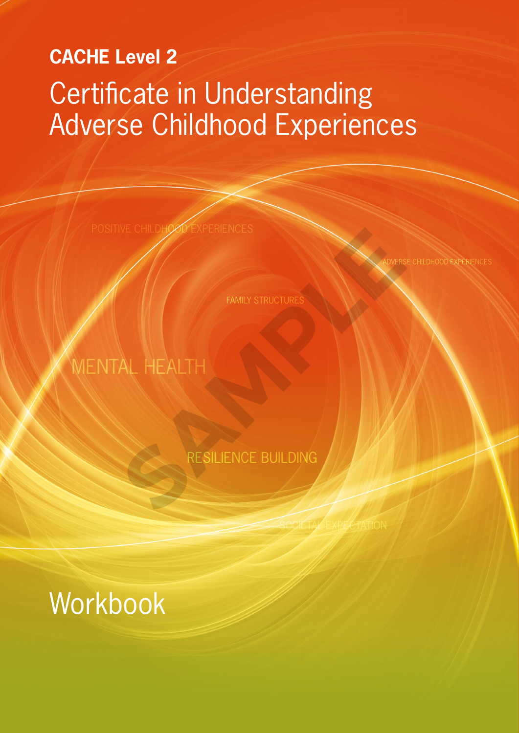# **CACHE Level 2** Certificate in Understanding Adverse Childhood Experiences

POSITIVE CHILDHOOD EXPERIENCES

CHILDHOOD EXPERIE

**FAMILY STRUCTURE** 

# MENTAL HEALTH FAMILY STRUCTURES

RESILIENCE BUILDING

SOCIETAL EXPECTATION

Workbook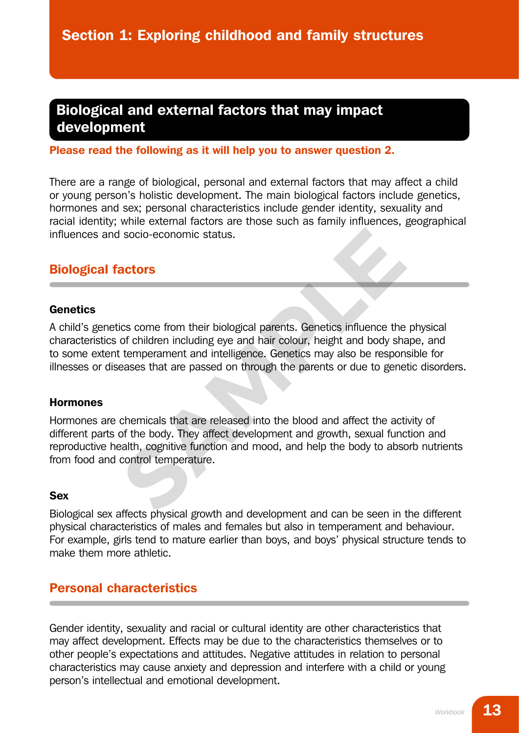# Biological and external factors that may impact development

#### Please read the following as it will help you to answer question 2.

There are a range of biological, personal and external factors that may affect a child or young person's holistic development. The main biological factors include genetics, hormones and sex; personal characteristics include gender identity, sexuality and racial identity; while external factors are those such as family influences, geographical influences and socio-economic status.

# Biological factors

#### **Genetics**

A child's genetics come from their biological parents. Genetics influence the physical characteristics of children including eye and hair colour, height and body shape, and to some extent temperament and intelligence. Genetics may also be responsible for illnesses or diseases that are passed on through the parents or due to genetic disorders.

#### Hormones

Hormones are chemicals that are released into the blood and affect the activity of different parts of the body. They affect development and growth, sexual function and reproductive health, cognitive function and mood, and help the body to absorb nutrients from food and control temperature. **SAMPLE SET ASSEM SET ASSEM SET A SET AND SET A SET ANCRED SET A SET A SET A SET A SET A SET A SET A SET A SET A SET A SET A SET A SET A SET A SET A SET A SET A SET A SET A SET A SET A SET A SET A SET A SET A SET A SET A S** 

#### Sex

Biological sex affects physical growth and development and can be seen in the different physical characteristics of males and females but also in temperament and behaviour. For example, girls tend to mature earlier than boys, and boys' physical structure tends to make them more athletic.

# Personal characteristics

Gender identity, sexuality and racial or cultural identity are other characteristics that may affect development. Effects may be due to the characteristics themselves or to other people's expectations and attitudes. Negative attitudes in relation to personal characteristics may cause anxiety and depression and interfere with a child or young person's intellectual and emotional development.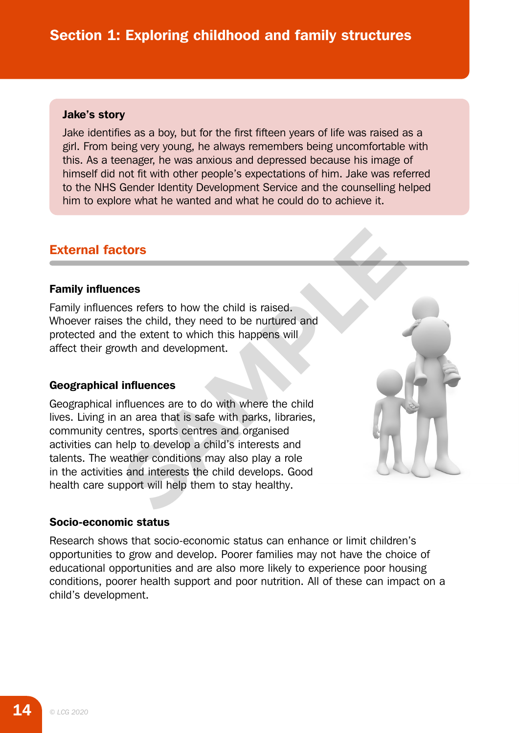#### Jake's story

Jake identifies as a boy, but for the first fifteen years of life was raised as a girl. From being very young, he always remembers being uncomfortable with this. As a teenager, he was anxious and depressed because his image of himself did not fit with other people's expectations of him. Jake was referred to the NHS Gender Identity Development Service and the counselling helped him to explore what he wanted and what he could do to achieve it.

# External factors

#### Family influences

Family influences refers to how the child is raised. Whoever raises the child, they need to be nurtured and protected and the extent to which this happens will affect their growth and development.

#### Geographical influences

Geographical influences are to do with where the child lives. Living in an area that is safe with parks, libraries, community centres, sports centres and organised activities can help to develop a child's interests and talents. The weather conditions may also play a role in the activities and interests the child develops. Good health care support will help them to stay healthy. **CONSERVIES AND ACCEDED SECURITY OF SECURITY OF SAMPLE SECURITY OF SAMPLE AND ACCEDENT ACCEDENT ACCEDENT ACCEDENT ACCEDENT ACCEDENT ACCEDENT ACCEDENT ACCEDENT ACCEDENT ACCEDENT ACCEDENT ACCEDENT ACCEDENT ACCEDENT ACCEDENT** 



#### Socio-economic status

Research shows that socio-economic status can enhance or limit children's opportunities to grow and develop. Poorer families may not have the choice of educational opportunities and are also more likely to experience poor housing conditions, poorer health support and poor nutrition. All of these can impact on a child's development.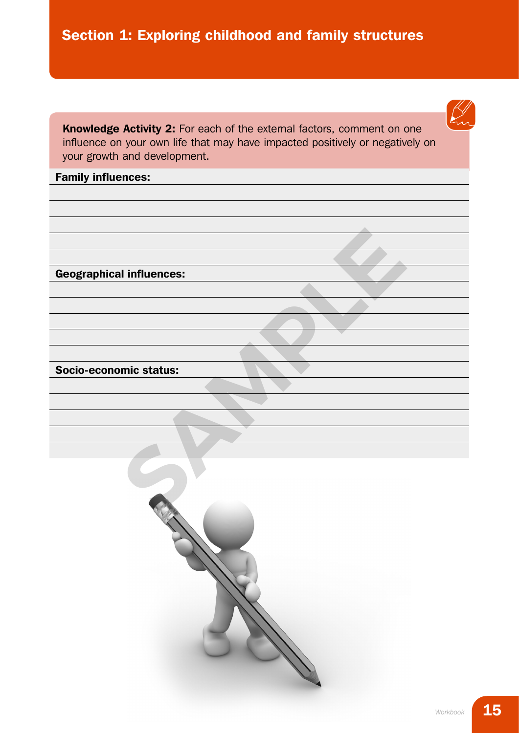Section 1: Exploring childhood and family structures

Knowledge Activity 2: For each of the external factors, comment on one influence on your own life that may have impacted positively or negatively on your growth and development.

#### Family influences:

Geographical influences:

Socio-economic status:

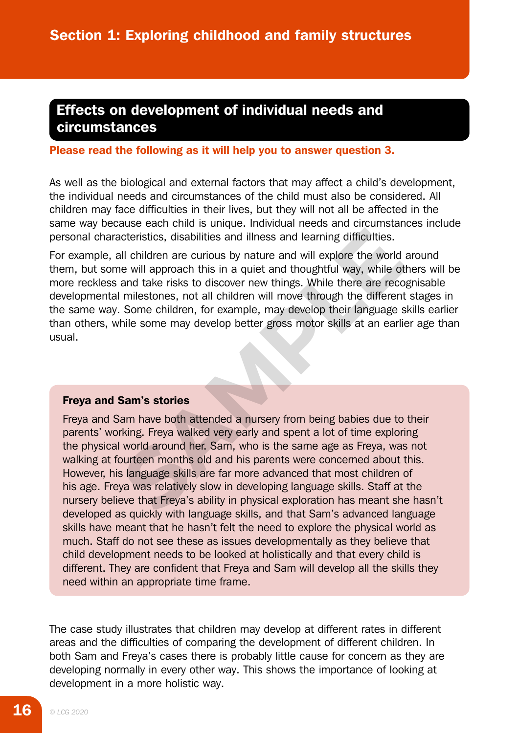# Effects on development of individual needs and circumstances

#### Please read the following as it will help you to answer question 3.

As well as the biological and external factors that may affect a child's development, the individual needs and circumstances of the child must also be considered. All children may face difficulties in their lives, but they will not all be affected in the same way because each child is unique. Individual needs and circumstances include personal characteristics, disabilities and illness and learning difficulties.

For example, all children are curious by nature and will explore the world around them, but some will approach this in a quiet and thoughtful way, while others will be more reckless and take risks to discover new things. While there are recognisable developmental milestones, not all children will move through the different stages in the same way. Some children, for example, may develop their language skills earlier than others, while some may develop better gross motor skills at an earlier age than usual.

#### Freya and Sam's stories

Freya and Sam have both attended a nursery from being babies due to their parents' working. Freya walked very early and spent a lot of time exploring the physical world around her. Sam, who is the same age as Freya, was not walking at fourteen months old and his parents were concerned about this. However, his language skills are far more advanced that most children of his age. Freya was relatively slow in developing language skills. Staff at the nursery believe that Freya's ability in physical exploration has meant she hasn't developed as quickly with language skills, and that Sam's advanced language skills have meant that he hasn't felt the need to explore the physical world as much. Staff do not see these as issues developmentally as they believe that child development needs to be looked at holistically and that every child is different. They are confident that Freya and Sam will develop all the skills they need within an appropriate time frame. acteristics, disabilities and illness and learning difficulties.<br>
All children are curious by nature and will explore the world are<br>
all children are curious by nature and will explore the world are<br>
and take risks to disc

The case study illustrates that children may develop at different rates in different areas and the difficulties of comparing the development of different children. In both Sam and Freya's cases there is probably little cause for concern as they are developing normally in every other way. This shows the importance of looking at development in a more holistic way.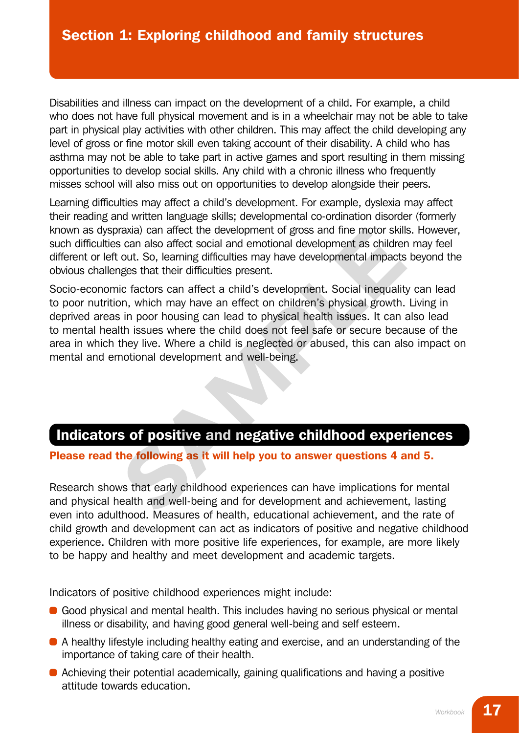Disabilities and illness can impact on the development of a child. For example, a child who does not have full physical movement and is in a wheelchair may not be able to take part in physical play activities with other children. This may affect the child developing any level of gross or fine motor skill even taking account of their disability. A child who has asthma may not be able to take part in active games and sport resulting in them missing opportunities to develop social skills. Any child with a chronic illness who frequently misses school will also miss out on opportunities to develop alongside their peers.

Learning difficulties may affect a child's development. For example, dyslexia may affect their reading and written language skills; developmental co-ordination disorder (formerly known as dyspraxia) can affect the development of gross and fine motor skills. However, such difficulties can also affect social and emotional development as children may feel different or left out. So, learning difficulties may have developmental impacts beyond the obvious challenges that their difficulties present.

Socio-economic factors can affect a child's development. Social inequality can lead to poor nutrition, which may have an effect on children's physical growth. Living in deprived areas in poor housing can lead to physical health issues. It can also lead to mental health issues where the child does not feel safe or secure because of the area in which they live. Where a child is neglected or abused, this can also impact on mental and emotional development and well-being. raxia) can affect the development of gross and fine motor skills<br>
is can also affect social and emotional development as childrer<br>
out. So, learning difficulties may have developmental impacts<br>
ges that their difficulties

# Indicators of positive and negative childhood experiences

Please read the following as it will help you to answer questions 4 and 5.

Research shows that early childhood experiences can have implications for mental and physical health and well-being and for development and achievement, lasting even into adulthood. Measures of health, educational achievement, and the rate of child growth and development can act as indicators of positive and negative childhood experience. Children with more positive life experiences, for example, are more likely to be happy and healthy and meet development and academic targets.

Indicators of positive childhood experiences might include:

- Good physical and mental health. This includes having no serious physical or mental illness or disability, and having good general well-being and self esteem.
- A healthy lifestyle including healthy eating and exercise, and an understanding of the importance of taking care of their health.
- Achieving their potential academically, gaining qualifications and having a positive attitude towards education.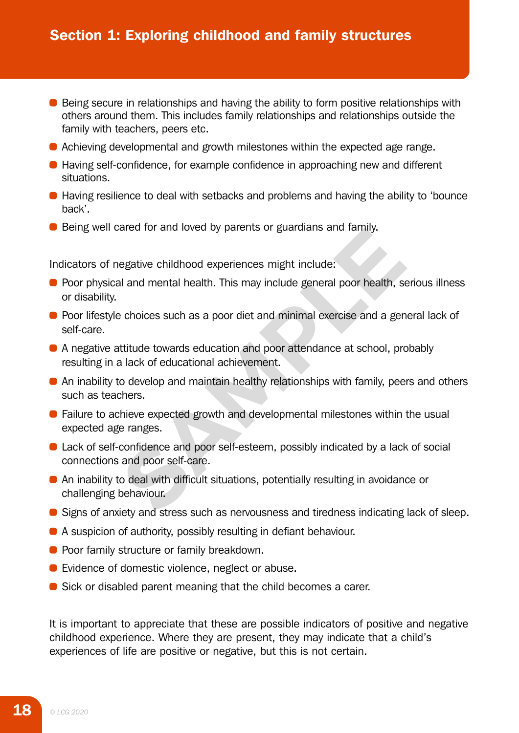- Being secure in relationships and having the ability to form positive relationships with others around them. This includes family relationships and relationships outside the family with teachers, peers etc.
- Achieving developmental and growth milestones within the expected age range.
- Having self-confidence, for example confidence in approaching new and different situations.
- Having resilience to deal with setbacks and problems and having the ability to 'bounce back'.
- **•** Being well cared for and loved by parents or guardians and family.

Indicators of negative childhood experiences might include:

- Poor physical and mental health. This may include general poor health, serious illness or disability.
- Poor lifestyle choices such as a poor diet and minimal exercise and a general lack of self-care.
- A negative attitude towards education and poor attendance at school, probably resulting in a lack of educational achievement.
- An inability to develop and maintain healthy relationships with family, peers and others such as teachers.
- Failure to achieve expected growth and developmental milestones within the usual expected age ranges. rated for and loved by parents of guadualis and family.<br>
Legative childhood experiences might include:<br>
Il and mental health. This may include general poor health, se<br>
a choices such as a poor diet and minimal exercise and
- Lack of self-confidence and poor self-esteem, possibly indicated by a lack of social connections and poor self-care.
- An inability to deal with difficult situations, potentially resulting in avoidance or challenging behaviour.
- Signs of anxiety and stress such as nervousness and tiredness indicating lack of sleep.
- A suspicion of authority, possibly resulting in defiant behaviour.
- Poor family structure or family breakdown.
- Evidence of domestic violence, neglect or abuse.
- **•** Sick or disabled parent meaning that the child becomes a carer.

It is important to appreciate that these are possible indicators of positive and negative childhood experience. Where they are present, they may indicate that a child's experiences of life are positive or negative, but this is not certain.